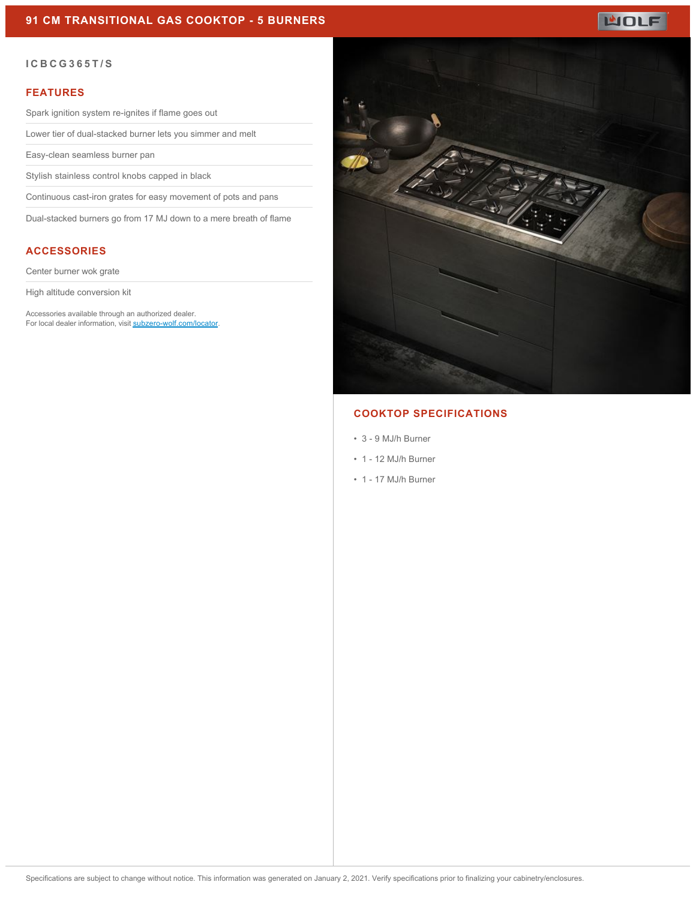

#### **ICBCG365T/S**

#### **FEATURES**

Spark ignition system re-ignites if flame goes out

Lower tier of dual-stacked burner lets you simmer and melt

Easy-clean seamless burner pan

Stylish stainless control knobs capped in black

Continuous cast-iron grates for easy movement of pots and pans

Dual-stacked burners go from 17 MJ down to a mere breath of flame

# **ACCESSORIES**

Center burner wok grate

High altitude conversion kit

Accessories available through an authorized dealer. For local dealer information, visit [subzero-wolf.com/locator.](http://www.subzero-wolf.com/locator)



## **COOKTOP SPECIFICATIONS**

- 3 9 MJ/h Burner
- 1 12 MJ/h Burner
- 1 17 MJ/h Burner